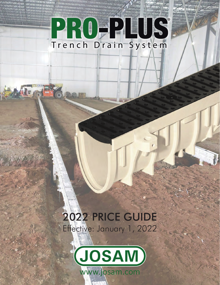# PROPHIS® Trench Drain System

## 2022 PRICE GUIDE Effective: January 1, 2022

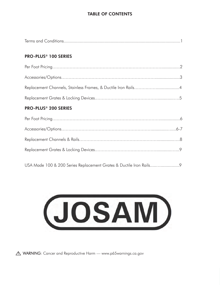## TABLE OF CONTENTS

## PRO-PLUS® 100 SERIES

## PRO-PLUS® 200 SERIES

| USA Made 100 & 200 Series Replacement Grates & Ductile Iron Rails |  |
|-------------------------------------------------------------------|--|
|-------------------------------------------------------------------|--|



**A WARNING:** Cancer and Reproductive Harm — www.p65warnings.ca.gov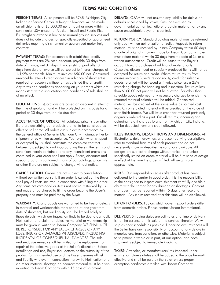### TERMS AND CONDITIONS

FREIGHT TERMS: All shipments will be F.O.B. Michigan City, Indiana or Service Center. A freight allowance will be made on all shipments of \$5,000.00 net amount or more within the continental USA except for Alaska, Hawaii and Puerto Rico. Full freight allowance is limited to normal ground services and does not include charges for specially expedited or guaranteed deliveries requiring air shipment or guaranteed motor freight contracts.

PAYMENT TERMS: For accounts with established credit, payment terms are 2% cash discount, payable 30 days from date of invoice, net 31 days. Invoices still unpaid after 31 days from date of invoice will be subject to interest charges of 1-1/2% per month. Minimum invoice: \$50.00 net. Confirmed irrevocable letter of credit or cash in advance of shipment is required for accounts without an established line of credit. Any terms and conditions appearing on your orders which are inconsistent with our quotation and conditions of sale shall be of no effect.

QUOTATIONS: Quotations are based on discount in effect at the time of quotation and will be protected on this basis for a period of 30 days from job bid due date.

ACCEPTANCE OF ORDERS: All catalogs, price lists or other literature describing our products are not to be construed as offers to sell same. All orders are subject to acceptance by the general office of Seller in Michigan City, Indiana, either by shipment or by written acceptance. Your order, when shipped or accepted by us, shall constitute the complete contract between us, subject to and incorporating therein the terms and conditions herein contained, and any inconsistent provisions contained in your order shall not apply. Prices, discounts and special programs contained in any of our catalogs, price lists or other literature are subject to change without notice.

CANCELLATION: Orders are not subject to cancellation without our written consent. If an order is cancelled, the Buyer shall pay all costs incurred in connection with filling the order. Any items not cataloged or items not normally stocked by us and made or purchased to fill the order become the Buyer's property and must be paid for by the Buyer.

WARRANTY: Our products are warranted to be free of defects in material and workmanship for a period of one year from date of shipment, but our liability shall be limited solely to those defects, which our inspection finds to be due to our fault. Notification of a claim for defective material or workmanship must be given in writing to Josam Company. WE SHALL NOT BE RESPONSIBLE FOR ANY LABOR CHARGES OR ANY LOSS, INJURY OR DAMAGES WHATSOEVER, INCLUDING INCIDENTAL OR CONSEQUENTIAL DAMAGES. The sole and exclusive remedy shall be limited to the replacement or repair of the defective goods at the Seller's discretion. Before installation and use, Buyer shall determine the suitability of the product for his intended use and the Buyer assumes all risk and liability whatever in connection therewith. Notification of a claim for material shortage or incorrect material must be given in writing to Josam Company within 15 days of shipment.

DELAYS: JOSAM will not assume any liability for delays or defaults occasioned by strikes, fires, or exercised by governmental authorities, failure to obtain material, or by any cause unavoidable beyond its control.

RETURN POLICY: Standard catalog material may be returned only upon written authorization of Seller. Requests to return material must be received by Josam Company within 60 days of date of original shipment made by Josam Company. Buyer must return material within 30 days from the date of Seller's written authorization. Credit will be issued to the Buyer's account toward purchase of additional material only. Obsolete, discontinued or specially produced items will not be accepted for return and credit. Where return results from causes involving Buyer's responsibility, credit for saleable goods returned will be issued at invoice price less a 25% restocking charge for handling and inspection. Return of less than \$100.00 net price will not be allowed. For other than saleable goods returned, any necessary charges to render the returned material saleable will be added. Galvanized material will be credited at the same value as painted cast iron. Chrome plated material will be credited at the value of satin finish bronze. We will issue credit for returned parts only originally ordered as a part. On all returns, incoming and outgoing freight charges to and from Michigan City, Indiana, will be deducted from any credit allowed.

#### ILLUSTRATIONS, DESCRIPTIONS AND DIMENSIONS: All

illustrations, detail drawings, and accompanying descriptions refer to standard features of each product and do not necessarily show or describe the variations available. All designs are subject to change without notice, and unless specifically stated on order, material will be furnished of design in effect at the time the order is filled. All weights are approximate.

RISKS: Our responsibility ceases after product has been delivered to the carrier in good order. It is the responsibility of the consignee to inspect each shipment carefully and file a claim with the carrier for any damage or shortages. Content shortages must be reported within 15 days after receipt of material. Any claim received after this time will be disallowed.

**EXPORT ORDERS:** Factors which govern export orders differ from domestic orders. Please contact Josam International.

DELIVERY: Shipping dates are estimates and time of delivery is not the essence of this sale or the contract therefor. We will ship as near schedule as possible. Under no circumstances will the Seller have any responsibility on account of any delays in manufacture, transportation, or otherwise. Material is subject to shipment in whole or in part, at our option, and each shipment is subject to immediate invoicing.

TAXES: Any sales, or manufacturers' tax imposed under existing or future statutes shall be added to the price herewith effective and shall be paid by the Buyer unless proper exemption certificates are filed with Josam Company.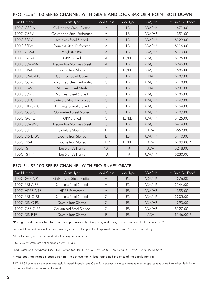### PRO-PLUS® 100 SERIES CHANNEL WITH GRATE AND LOCK BAR OR 4-POINT BOLT DOWN

| Part Number   | Grate Type                         | Load Class     | Lock Type | ADA/HP     | List Price Per Foot* |
|---------------|------------------------------------|----------------|-----------|------------|----------------------|
| 100C-GSS-A    | <b>Galvanized Steel Slotted</b>    | A              | <b>LB</b> | ADA/HP     | \$71.00              |
| 100C-GSP-A    | Galvanized Steel Perforated        | A              | <b>LB</b> | ADA/HP     | \$81.00              |
| 100C-SSS-A    | <b>Stainless Steel Slotted</b>     | $\overline{A}$ | <b>LB</b> | ADA/HP     | \$129.00             |
| 100C-SSP-A    | <b>Stainless Steel Perforated</b>  | $\forall$      | LB        | ADA/HP     | \$116.00             |
| 100C-VB-A-DC  | Vinylester Bar                     | A              | <b>LB</b> | ADA/HP     | \$170.00             |
| 100C-GRP-A    | <b>GRP</b> Slotted                 | A              | LB/BD     | ADA/HP     | \$125.00             |
| 100C-SSWW-A   | Decorative Stainless Steel         | $\overline{A}$ | <b>LB</b> | ADA/HP     | \$246.00             |
| 100C-DIS-C    | Ductile Iron Slotted               | $\subset$      | LB/BD     | ADA/HP     | \$86.00              |
| 100C-CIS-C-DC | <b>Cast Iron Solid Cover</b>       | $\mathsf{C}$   | <b>LB</b> | <b>NA</b>  | \$189.00             |
| 100C-GSP-C    | <b>Galvanized Steel Perforated</b> | $\subset$      | LB        | ADA/HP     | \$118.00             |
| 100C-SSM-C    | Stainless Steel Mesh               | $\mathsf{C}$   | <b>LB</b> | <b>NA</b>  | \$231.00             |
| 100C-SSS-C    | <b>Stainless Steel Slotted</b>     | $\mathsf{C}$   | LB        | ADA/HP     | \$186.00             |
| 100C-SSP-C    | <b>Stainless Steel Perforated</b>  | $\mathsf{C}$   | <b>LB</b> | ADA/HP     | \$147.00             |
| 100C-DIL-C-DC | DI Longitudinal Slotted            | $\mathsf{C}$   | <b>LB</b> | ADA/HP     | \$164.00             |
| 100C-GSS-C    | <b>Galvanized Steel Slotted</b>    | $\mathsf{C}$   | <b>LB</b> | ADA/HP     | \$109.00             |
| 100C-GRP-C    | <b>GRP</b> Slotted                 | $\mathsf C$    | LB/BD     | ADA/HP     | \$125.00             |
| 100C-SSWW-C   | <b>Decorative Stainless Steel</b>  | $\mathsf{C}$   | <b>LB</b> | ADA/HP     | \$414.00             |
| 100C-SSB-E    | Stainless Steel Bar                | $\mathsf E$    | LB        | <b>ADA</b> | \$552.00             |
| 100C-DIS-E-DC | Ductile Iron Slotted               | E              | <b>LB</b> | ADA/HP     | \$110.00             |
| 100C-DIS-F    | Ductile Iron Slotted               | $F^{**}$       | LB/BD     | <b>ADA</b> | \$139.00**           |
| 100C-TS       | <b>Top Slot SS Frame</b>           | <b>NA</b>      | <b>NA</b> | <b>ADA</b> | \$218.00             |
| 100C-TS-HP    | Top Slot SS Frame                  | <b>NA</b>      | <b>NA</b> | ADA/HP     | \$230.00             |

## PRO-PLUS® 100 SERIES CHANNEL WITH PRO-SNAP® GRATE

| Part Number    | Grate Type                      | Load Class | Lock Type | ADA/HP     | List Price Per Foot* |
|----------------|---------------------------------|------------|-----------|------------|----------------------|
| 100C-GSS-A-PS  | <b>Galvanized Steel Slotted</b> |            | PS        | ADA/HP     | \$76.00              |
| 100C-SSS-A-PS  | <b>Stainless Steel Slotted</b>  |            | PS        | ADA/HP     | \$144.00             |
| 100C-HDPE-A-PS | <b>HDPE</b> Perforated          | Α          | PS        | ADA/HP     | \$88,00              |
| 100C-SSS-C-PS  | <b>Stainless Steel Slotted</b>  |            | PS        | ADA/HP     | \$205.00             |
| 100C-DIS-C-PS  | Ductile Iron Slotted            |            | PS        | ADA/HP     | \$93.00              |
| 100C-GSS-C-PS  | <b>Galvanized Steel Slotted</b> |            | PS        | ADA/HP     | \$127.00             |
| 100C-DIS-F-PS  | Ductile Iron Slotted            | $F**$      | PS        | <b>ADA</b> | $$146.00**$          |

\*Pricing provided is per foot for estimation purposes only. Final pricing and footage is to be rounded to the nearest 19.7".

For special domestic content requests, see page 9 or contact your local representative or Josam Company for pricing.

All ductile iron grates come standard with epoxy coating finish.

PRO-SNAP® Grates are not compatible with DI Rails.

Load Classes A-F: A=3,500 lbs/70 PSI | C=56,000 lbs/1,162 PSI | E=135,000 lbs/2,788 PSI | F=200,000 lbs/4,182 PSI

#### \*\*Price does not include a ductile iron rail. To achieve the "F" load rating add the price of the ductile iron rail.

PRO-PLUS® channels have been successfully tested through Load Class E. However, it is recommended that for applications using hard wheel forklifts or scissor lifts that a ductile iron rail is used.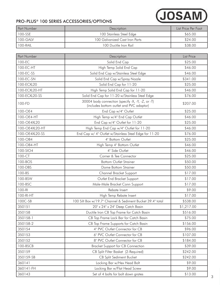## **JOSAM**

## PRO-PLUS® 100 SERIES ACCESSORIES/OPTIONS

| <b>Part Number</b> | <b>Description</b>             | List Price Per Foot |
|--------------------|--------------------------------|---------------------|
| 100-SSE            | 100 Stainless Steel Edge       | \$65.00             |
| ' 100-GALV         | 100 Galvanized Cast Iron Parts | \$24.00             |
| 100-RAIL           | 100 Ductile Iron Rail          | \$38,00             |

| Part Number    | Description                                                                                   | List Price |
|----------------|-----------------------------------------------------------------------------------------------|------------|
| 100-EC         | Solid End Cap                                                                                 | \$25.00    |
| 100-EC-HT      | High Temp Solid End Cap                                                                       | \$46.00    |
| 100-EC-SS      | Solid End Cap w/Stainless Steel Edge                                                          | \$46.00    |
| 100-EC-SN      | Solid End Cap w/Spray Nozzle                                                                  | \$341.00   |
| 100-ECXL20     | Solid End Cap for 11-20                                                                       | \$25.00    |
| 100-ECXL20-HT  | High Temp Solid End Cap for 11-20                                                             | \$46.00    |
| 100-ECXL20-SS  | Solid End Cap for 11-20 w/Stainless Steel Edge                                                | \$76.00    |
| 100-FD         | 30004 body connection (specify -X, -Y, -Z, or -T)<br>(includes bottom outlet and PVC adaptor) |            |
| 100-OE4        | End Cap w/4" Outlet                                                                           | \$25.00    |
| 100-OE4-HT     | High Temp w/4" End Cap Outlet                                                                 | \$46.00    |
| 100-OE4XL20    | End Cap w/4" Outlet for 11-20                                                                 | \$25.00    |
| 100-OE4XL20-HT | High Temp End Cap w/4" Outlet for 11-20                                                       | \$46.00    |
| 100-OE4XL20-SS | End Cap w/ 4" Outlet w/Stainless Steel Edge for 11-20                                         | \$76.00    |
| 100-OB4        | 4" Bottom Outlet                                                                              | \$25.00    |
| 100-OB4-HT     | High Temp 4" Bottom Outlet                                                                    | \$46.00    |
| 100-SIO4       | 4" Side Outlet                                                                                | \$46.00    |
| 100-CT         | Corner & Tee Connector                                                                        | \$25.00    |
| 100-BOS        | <b>Bottom Outlet Strainer</b>                                                                 | \$50.00    |
| 100-DBS        | Dome Bottom Strainer                                                                          | \$50.00    |
| 100-BS         | Channel Bracket Support                                                                       | \$17.00    |
| 100-BSW        | Outlet End Bracket Support                                                                    | \$17.00    |
| 100-BSC        | Male-Male Bracket Conn Support                                                                | \$17.00    |
| 100-RI         | Rebate Insert                                                                                 | \$9.00     |
| 100-RI-HT      | High Temp Rebate Insert                                                                       |            |
| 100C-SB        | 100 Silt Box w/19.7" Channel & Sediment Bucket 39.4" total                                    | \$538.00   |
| 350151         | 20" x 24" x 24" Deep Catch Basin                                                              | \$1,217.00 |
| 350158         | Ductile Iron CB Top Frame for Catch Basin                                                     | \$516.00   |
| 350158-1       | CB Top Frame Lock Bar for Catch Basin                                                         | \$75.00    |
| 350158-2       | CB Top Frame Supports for Catch Basin                                                         | \$156.00   |
| 350154         | 4" PVC Outlet Connector for CB                                                                | \$96.00    |
| 350153         | 6" PVC Outlet Connector for CB                                                                | \$107.00   |
| 350152         | 8" PVC Outlet Connector for CB                                                                | \$184.00   |
| 100-BSCB       | <b>Bracket Support for CB Connection</b>                                                      | \$39.00    |
| 350159         | CB Split Filter Basket (2-Required)                                                           | \$242.00   |
| 350159-SB      | <b>CB Split Sediment Bucket</b>                                                               | \$242.00   |
| 360141         | Locking Bar w/Hex Head Bolt                                                                   | \$9.00     |
| 360141-FH      | Locking Bar w/Flat Head Screw                                                                 | \$9.00     |
| 360143         | Set of 4 bolts for bolt down grates                                                           | \$13.00    |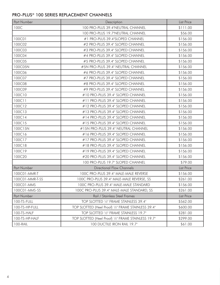## PRO-PLUS® 100 SERIES REPLACEMENT CHANNELS

| Part Number     | Description                                         | List Price        |
|-----------------|-----------------------------------------------------|-------------------|
| 100C            | 100 PRO-PLUS 39.4"NEUTRAL CHANNEL                   | \$111.00          |
|                 | 100 PRO-PLUS 19.7"NEUTRAL CHANNEL                   | \$56.00           |
| 100C01          | #1 PRO-PLUS 39.4"SLOPED CHANNEL                     | \$156.00          |
| 100C02          | #2 PRO-PLUS 39.4" SLOPED CHANNEL                    | \$156.00          |
| 100C03          | #3 PRO-PLUS 39.4" SLOPED CHANNEL                    | \$156.00          |
| 100C04          | #4 PRO-PLUS 39.4" SLOPED CHANNEL                    | \$156.00          |
| 100C05          | #5 PRO-PLUS 39.4" SLOPED CHANNEL                    | \$156.00          |
| 100C05N         | #5N PRO-PLUS 39.4" NEUTRAL CHANNEL                  | \$156.00          |
| 100C06          | #6 PRO-PLUS 39.4" SLOPED CHANNEL                    | \$156.00          |
| 100C07          | #7 PRO-PLUS 39.4" SLOPED CHANNEL                    | \$156.00          |
| 100C08          | #8 PRO-PLUS 39.4" SLOPED CHANNEL                    | \$156.00          |
| 100C09          | #9 PRO-PLUS 39.4" SLOPED CHANNEL                    | \$156.00          |
| 100C10          | #10 PRO-PLUS 39.4" SLOPED CHANNEL                   | \$156.00          |
| 100C11          | #11 PRO-PLUS 39.4" SLOPED CHANNEL                   | \$156.00          |
| 100C12          | #12 PRO-PLUS 39.4" SLOPED CHANNEL                   | \$156.00          |
| 100C13          | #13 PRO-PLUS 39.4" SLOPED CHANNEL                   | \$156.00          |
| 100C14          | #14 PRO-PLUS 39.4" SLOPED CHANNEL                   | \$156.00          |
| 100C15          | #15 PRO-PLUS 39.4" SLOPED CHANNEL                   | \$156.00          |
| 100C15N         | #15N PRO-PLUS 39.4" NEUTRAL CHANNEL                 | \$156.00          |
| 100C16          | #16 PRO-PLUS 39.4" SLOPED CHANNEL                   | \$156.00          |
| 100C17          | #17 PRO-PLUS 39.4" SLOPED CHANNEL                   | \$156.00          |
| 100C18          | #18 PRO-PLUS 39.4" SLOPED CHANNEL                   | \$156.00          |
| 100C19          | #19 PRO-PLUS 39.4" SLOPED CHANNEL                   | \$156.00          |
| 100C20          | #20 PRO-PLUS 39.4" SLOPED CHANNEL                   | \$156.00          |
|                 | 100 PRO-PLUS 19.7" SLOPED CHANNEL                   | \$79.00           |
| Part Number     | <b>Directional Flow Channels</b>                    | List Price        |
| 100C01-MMR-T    | 100C PRO-PLUS 39.4" MALE-MALE REVERSE               | \$156.00          |
| 100C01-MMR-T-SS | 100C PRO-PLUS 39.4" MALE-MALE REVERSE, SS           | \$261.00          |
| 100C01-MMS      | 100C PRO-PLUS 39.4" MALE-MALE STANDARD              | \$156.00          |
| 100C01-MMS-SS   | 100C PRO-PLUS 39.4" MALE-MALE STANDARD, SS          | \$261.00          |
| Part Number     | Rail / Stainless Steel Frames                       | <b>List Price</b> |
| 100-TS-FULL     | TOP SLOTTED 1/2" FRAME STAINLESS 39.4"              | \$562.00          |
| 100-TS-HP-FULL  | TOP SLOTTED (Heel Proof) 1/2" FRAME STAINLESS 39.4" | \$600.00          |
| 100-TS-HALF     | TOP SLOTTED 1/2" FRAME STAINLESS 19.7"              | \$281.00          |
| 100-TS-HP-HALF  | TOP SLOTTED (Heel Proof) 1/2" FRAME STAINLESS 19.7" | \$299.00          |
| 100-RAIL        | 100 DUCTILE IRON RAIL 19.7"                         | \$61.00           |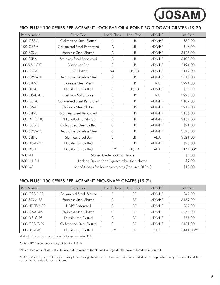

| PRO-PLUS® 100 SERIES REPLACEMENT LOCK BAR OR 4-POINT BOLT DOWN GRATES (19.7") |  |
|-------------------------------------------------------------------------------|--|
|-------------------------------------------------------------------------------|--|

| Part Number  | Grate Type                                             | <b>Load Class</b>                                | Lock Type | ADA/HP     | <b>List Price</b> |
|--------------|--------------------------------------------------------|--------------------------------------------------|-----------|------------|-------------------|
| 100-GSS-A    | <b>Galvanized Steel Slotted</b>                        | A                                                | <b>LB</b> | ADA/HP     | \$32.00           |
| 100-GSP-A    | Galvanized Steel Perforated                            | $\overline{A}$                                   | <b>LB</b> | ADA/HP     | \$46.00           |
| 100-SSS-A    | <b>Stainless Steel Slotted</b>                         | A                                                | LB        | ADA/HP     | \$125.00          |
| 100-SSP-A    | Stainless Steel Perforated                             | A                                                | LB        | ADA/HP     | \$103.00          |
| 100-VB-A-DC  | Vinylester Bar                                         | A                                                | LB        | ADA/HP     | \$194.00          |
| 100-GRP-C    | <b>GRP</b> Slotted                                     | $A-C$                                            | LB/BD     | ADA/HP     | \$119.00          |
| 100-SSWW-A   | <b>Decorative Stainless Steel</b>                      | $\overline{A}$                                   | <b>LB</b> | ADA/HP     | \$318.00          |
| 100-SSM-C    | <b>Stainless Steel Mesh</b>                            | $\mathsf{C}$                                     | LB        | <b>NA</b>  | \$294.00          |
| 100-DIS-C    | Ductile Iron Slotted                                   | $\subset$                                        | LB/BD     | ADA/HP     | \$55.00           |
| 100-CIS-C-DC | Cast Iron Solid Cover                                  | $\mathsf{C}$                                     | LB        | <b>NA</b>  | \$225.00          |
| 100-GSP-C    | <b>Galvanized Steel Perforated</b>                     | $\mathsf C$                                      | LB        | ADA/HP     | \$107.00          |
| 100-SSS-C    | <b>Stainless Steel Slotted</b>                         | $\mathsf{C}$                                     | LB        | ADA/HP     | \$218.00          |
| 100-SSP-C    | <b>Stainless Steel Perforated</b>                      | $\mathsf C$                                      | LВ        | ADA/HP     | \$156.00          |
| 100-DIL-C-DC | DI Longitudinal Slotted                                | $\mathsf{C}$                                     | LB        | ADA/HP     | \$182.00          |
| 100-GSS-C    | <b>Galvanized Steel Slotted</b>                        | $\mathsf{C}$                                     | LB        | ADA/HP     | \$91.00           |
| 100-SSWW-C   | <b>Decorative Stainless Steel</b>                      | $\mathsf C$                                      | LB        | ADA/HP     | \$593.00          |
| 100-SSB-E    | Stainless Steel Bar                                    | E                                                | LB        | <b>ADA</b> | \$821.00          |
| 100-DIS-E-DC | Ductile Iron Slotted                                   | $\mathsf E$                                      | LB        | ADA/HP     | \$95.00           |
| 100-DIS-F    | Ductile Iron Slotted                                   | $F***$                                           | LB/BD     | <b>ADA</b> | $$141.00**$       |
| 360141       | Slotted Grate Locking Device                           |                                                  |           | \$9.00     |                   |
| 360141-FH    |                                                        | Locking Device for all grates other than slotted |           |            | \$9.00            |
| 360143       | Set of 4 bolts for bolt down grates (Requires DI Rail) |                                                  |           |            | \$13.00           |

## PRO-PLUS® 100 SERIES REPLACEMENT PRO-SNAP® GRATES (19.7")

| Part Number   | Grate Type                      | Load Class | Lock Type | ADA/HP     | List Price  |
|---------------|---------------------------------|------------|-----------|------------|-------------|
| 100-GSS-A-PS  | Galvanized Steel Slotted        |            | <b>PS</b> | ADA/HP     | \$47.00     |
| 100-SSS-A-PS  | <b>Stainless Steel Slotted</b>  |            | <b>PS</b> | ADA/HP     | \$159.00    |
| 100-HDPE-A-PS | <b>HDPE</b> Perforated          |            | <b>PS</b> | ADA/HP     | \$67.00     |
| 100-SSS-C-PS  | <b>Stainless Steel Slotted</b>  |            | PS        | ADA/HP     | \$258.00    |
| 100-DIS-C-PS  | Ductile Iron Slotted            |            | PS        | ADA/HP     | \$75.00     |
| 100-GSS-C-PS  | <b>Galvanized Steel Slotted</b> |            | PS        | ADA/HP     | \$131.00    |
| 100-DIS-F-PS  | Ductile Iron Slotted            | $E**$      | PS        | <b>ADA</b> | $$144.00**$ |

All ductile iron grates come standard with epoxy coating finish.

PRO-SNAP® Grates are not compatible with DI Rails.

#### \*\*Price does not include a ductile iron rail. To achieve the "F" load rating add the price of the ductile iron rail.

PRO-PLUS® channels have been successfully tested through Load Class E. However, it is recommended that for applications using hard wheel forklifts or scissor lifts that a ductile iron rail is used.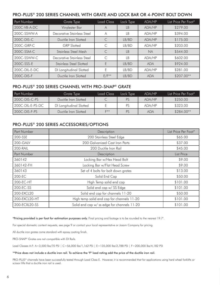### PRO-PLUS® 200 SERIES CHANNEL WITH GRATE AND LOCK BAR OR 4-POINT BOLT DOWN

| Part Number   | Grate Type                     | Load Class | Lock Type | ADA/HP     | List Price Per Foot* |
|---------------|--------------------------------|------------|-----------|------------|----------------------|
| 200C-VB-A-DC  | Vinylester Bar                 | A          | LB        | ADA/HP     | \$279.00             |
| 200C-SSWW-A   | Decorative Stainless Steel     | A          | LВ        | ADA/HP     | \$394.00             |
| 200C-DIS-C    | Ductile Iron Slotted           |            | LB/BD     | ADA/HP     | \$175.00             |
| 200C-GRP-C    | <b>GRP</b> Slotted             |            | LB/BD     | ADA/HP     | \$203.00             |
| 200C-SSM-C    | Stainless Steel Mesh           |            | LB        | <b>NA</b>  | \$544.00             |
| 200C-SSWW-C   | Decorative Stainless Steel     |            | LВ        | ADA/HP     | \$602.00             |
| 200C-SSS-E    | <b>Stainless Steel Slotted</b> |            | LB/BD     | <b>ADA</b> | \$924.00             |
| 200C-DIL-E-DC | DI Longitudinal Slotted        |            | LB/BD     | ADA/HP     | \$281.00             |
| 200C-DIS-F    | Ductile Iron Slotted           | $E/F***$   | LB/BD     | <b>ADA</b> | \$207.00**           |

### PRO-PLUS® 200 SERIES CHANNEL WITH PRO-SNAP® GRATE

| Part Number          | Grate Type              | Load Class | Lock Type | ADA/HP     | List Price Per Foot* |
|----------------------|-------------------------|------------|-----------|------------|----------------------|
| 200C-DIS-C-PS        | Ductile Iron Slotted    |            | PS        | ADA/HP     | \$250.00             |
| $1200C$ -DIL-E-PS-DC | DI Longitudinal Slotted |            | PS        | ADA/HP     | \$323.00             |
| 200C-DIS-F-PS        | Ductile Iron Slotted    | $E**$      | PS        | <b>ADA</b> | \$284.00**           |

## PRO-PLUS® 200 SERIES ACCESSORIES/OPTIONS

| Part Number   | Description                                 | List Price Per Foot* |
|---------------|---------------------------------------------|----------------------|
| 200-SSE       | 200 Stainless Steel Edge                    | \$65.00              |
| 200-GALV      | 200 Galvanized Cast Iron Parts              | \$37.00              |
| 200-RAIL      | 200 Ductile Iron Rail                       | \$45.00              |
| Part Number   | Description                                 | <b>List Price</b>    |
| 360142        | Locking Bar w/Hex Head Bolt                 | \$9.00               |
| 360142-FH     | Locking Bar w/Flat Head Screw               | \$9.00               |
| 360143        | Set of 4 bolts for bolt down grates         | \$13.00              |
| 200-EC        | Solid End Cap                               | \$50.00              |
| 200-EC-HT     | High Temp solid end cap                     | \$101.00             |
| 200-EC-SS     | Solid end cap w/ SS Edge                    | \$101.00             |
| 200-EXCL20    | Solid end cap for channels 11-20            | \$50.00              |
| 200-EXCL20-HT | High temp solid end cap for channels 11-20  | \$101.00             |
| 200-ECXL20-SS | Solid end cap w/ ss edge for channels 11-20 | \$101.00             |

\*Pricing provided is per foot for estimation purposes only. Final pricing and footage is to be rounded to the nearest 19.7".

For special domestic content requests, see page 9 or contact your local representative or Josam Company for pricing.

All ductile iron grates come standard with epoxy coating finish.

PRO-SNAP® Grates are not compatible with DI Rails.

Load Classes A-F: A=3,500 lbs/70 PSI | C=56,000 lbs/1,162 PSI | E=135,000 lbs/2,788 PSI | F=200,000 lbs/4,182 PSI

#### \*\*Price does not include a ductile iron rail. To achieve the "F" load rating add the price of the ductile iron rail.

PRO-PLUS® channels have been successfully tested through Load Class E. However, it is recommended that for applications using hard wheel forklifts or scissor lifts that a ductile iron rail is used.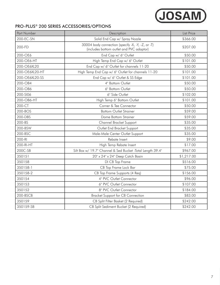

## PRO-PLUS® 200 SERIES ACCESSORIES/OPTIONS

| Part Number    | Description                                                                                   | <b>List Price</b> |
|----------------|-----------------------------------------------------------------------------------------------|-------------------|
| 200-EC-SN      | Solid End Cap w/ Spray Nozzle                                                                 | \$366.00          |
| 200-FD         | 30004 body connection (specify -X, -Y, -Z, or -T)<br>(includes bottom outlet and PVC adaptor) | \$207.00          |
| 200-OE6        | End Cap w/ 6" Outlet                                                                          | \$50.00           |
| 200-OE6-HT     | High Temp End Cap w/ 6" Outlet                                                                | \$101.00          |
| 200-OE6XL20    | End Cap w/ 6" Outlet for channels 11-20                                                       | \$50.00           |
| 200-OE6XL20-HT | High Temp End Cap w/ 6" Outlet for channels 11-20                                             | \$101.00          |
| 200-OE6XL20-SS | End Cap w/ 6" Outlet & SS Edge                                                                | \$101.00          |
| 200-OB4        | 4" Bottom Outlet                                                                              | \$50.00           |
| 200-OB6        | 6" Bottom Outlet                                                                              | \$50.00           |
| 200-SI06       | 6" Side Outlet                                                                                | \$102.00          |
| 200-OB6-HT     | High Temp 6" Bottom Outlet                                                                    | \$101.00          |
| 200-CT         | Corner & Tee Connector                                                                        | \$50.00           |
| 200-BOS        | <b>Bottom Outlet Strainer</b>                                                                 | \$59.00           |
| 200-DBS        | Dome Bottom Strainer                                                                          | \$59.00           |
| 200-BS         | Channel Bracket Support                                                                       | \$35.00           |
| 200-BSW        | Outlet End Bracket Support                                                                    | \$35.00           |
| 200-BSC        | Male-Male Center Outlet Support                                                               | \$35.00           |
| 200-RI         | Rebate Insert                                                                                 | \$9.00            |
| 200-RI-HT      | High Temp Rebate Insert                                                                       | \$17.00           |
| 200C-SB        | Silt Box w/ 19.7" Channel & Sed Bucket -Total Length 39.4"                                    | \$967.00          |
| 350151         | 20" x 24" x 24" Deep Catch Basin                                                              | \$1,217.00        |
| 350158         | DI CB Top Frame                                                                               | \$516.00          |
| 350158-1       | CB Top Frame Lock Bar                                                                         | \$75.00           |
| 350158-2       | CB Top Frame Supports (4 Req)                                                                 | \$156.00          |
| 350154         | 4" PVC Outlet Connector                                                                       | \$96.00           |
| 350153         | 6" PVC Outlet Connector                                                                       | \$107.00          |
| 350152         | 8" PVC Outlet Connector                                                                       | \$184.00          |
| 200-BSCB       | <b>Bracket Support for CB Connection</b>                                                      | \$83.00           |
| 350159         | CB Split Filter Basket (2 Required)                                                           | \$242.00          |
| 350159-SB      | CB Split Sediment Bucket (2 Required)                                                         | \$242.00          |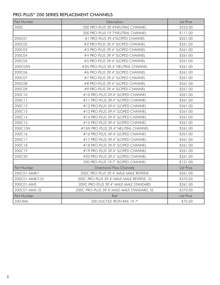## PRO-PLUS® 200 SERIES REPLACEMENT CHANNELS

| Part Number     | Description                                | List Price |
|-----------------|--------------------------------------------|------------|
| 200C            | 200 PRO-PLUS 39.4"NEUTRAL CHANNEL          | \$223.00   |
|                 | 200 PRO-PLUS 19.7"NEUTRAL CHANNEL          | \$111.00   |
| 200C01          | #1 PRO-PLUS 39.4"SLOPED CHANNEL            | \$261.00   |
| 200C02          | #2 PRO-PLUS 39.4" SLOPED CHANNEL           | \$261.00   |
| 200C03          | #3 PRO-PLUS 39.4" SLOPED CHANNEL           | \$261.00   |
| 200C04          | #4 PRO-PLUS 39.4" SLOPED CHANNEL           | \$261.00   |
| 200C05          | #5 PRO-PLUS 39.4" SLOPED CHANNEL           | \$261.00   |
| 200C05N         | #5N PRO-PLUS 39.4" NEUTRAL CHANNEL         | \$261.00   |
| 200C06          | #6 PRO-PLUS 39.4" SLOPED CHANNEL           | \$261.00   |
| 200C07          | #7 PRO-PLUS 39.4" SLOPED CHANNEL           | \$261.00   |
| 200C08          | #8 PRO-PLUS 39.4" SLOPED CHANNEL           | \$261.00   |
| 200C09          | #9 PRO-PLUS 39.4" SLOPED CHANNEL           | \$261.00   |
| 200C10          | #10 PRO-PLUS 39.4" SLOPED CHANNEL          | \$261.00   |
| 200C11          | #11 PRO-PLUS 39.4" SLOPED CHANNEL          | \$261.00   |
| 200C12          | #12 PRO-PLUS 39.4" SLOPED CHANNEL          | \$261.00   |
| 200C13          | #13 PRO-PLUS 39.4" SLOPED CHANNEL          | \$261.00   |
| 200C14          | #14 PRO-PLUS 39.4" SLOPED CHANNEL          | \$261.00   |
| 200C15          | #15 PRO-PLUS 39.4" SLOPED CHANNEL          | \$261.00   |
| 200C15N         | #15N PRO-PLUS 39.4" NEUTRAL CHANNEL        | \$261.00   |
| 200C16          | #16 PRO-PLUS 39.4" SLOPED CHANNEL          | \$261.00   |
| 200C17          | #17 PRO-PLUS 39.4" SLOPED CHANNEL          | \$261.00   |
| 200C18          | #18 PRO-PLUS 39.4" SLOPED CHANNEL          | \$261.00   |
| 200C19          | #19 PRO-PLUS 39.4" SLOPED CHANNEL          | \$261.00   |
| 200C20          | #20 PRO-PLUS 39.4" SLOPED CHANNEL          | \$261.00   |
|                 | 200 PRO-PLUS 19.7" SLOPED CHANNEL          | \$131.00   |
| Part Number     | <b>Directional Flow Channels</b>           | List Price |
| 200C01-MMR-T    | 200C PRO-PLUS 39.4" MALE-MALE REVERSE      | \$261.00   |
| 200C01-MMR-T-SS | 200C PRO-PLUS 39.4" MALE-MALE REVERSE, SS  | \$370.00   |
| 200C01-MMS      | 200C PRO-PLUS 39.4" MALE-MALE STANDARD     | \$261.00   |
| 200C01-MMS-SS   | 200C PRO-PLUS 39.4" MALE-MALE STANDARD, SS | \$370.00   |
| Part Number     | Rail                                       | List Price |
| 200-RAIL        | 200 DUCTILE IRON RAIL 19.7"                | \$75.00    |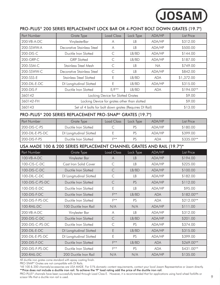## **DSAM**

## PRO-PLUS® 200 SERIES REPLACEMENT LOCK BAR OR 4-POINT BOLT DOWN GRATES (19.7")

| Part Number  | Grate Type                                             | <b>Load Class</b> | Lock Type | ADA/HP     | List Price |
|--------------|--------------------------------------------------------|-------------------|-----------|------------|------------|
| 200-VB-A-DC  | VinylesterBar                                          | A                 | LВ        | ADA/HP     | \$312.00   |
| 200-SSWW-A   | <b>Decorative Stainless Steel</b>                      | A                 | LВ        | ADA/HP     | \$500.00   |
| 200-DIS-C    | Ductile Iron Slotted                                   | C                 | LB/BD     | ADA/HP     | \$144.00   |
| 200-GRP-C    | <b>GRP</b> Slotted                                     | C                 | LB/BD     | ADA/HP     | \$187.00   |
| 200-SSM-C    | Stainless Steel Mesh                                   | C                 | LB        | NA.        | \$749.00   |
| 200-SSWW-C   | Decorative Stainless Steel                             |                   | LВ        | ADA/HP     | \$842.00   |
| 200-SSS-E    | Stainless Steel Slotted                                | F                 | LB/BD     | ADA        | \$1,372.00 |
| 200-DIL-E-DC | DI Longitudinal Slotted                                | E                 | LB/BD     | ADA/HP     | \$315.00   |
| 200-DIS-F    | Ductile Iron Slotted                                   | $E/F**$           | LB/BD     | <b>ADA</b> | \$194.00** |
| 360142       | Locking Device for Slotted Grates                      | \$9.00            |           |            |            |
| 360142-FH    | Locking Device for grates other than slotted           |                   |           |            | \$9.00     |
| 360143       | Set of 4 bolts for bolt down grates (Requires DI Rail) |                   |           |            | \$13.00    |

## PRO-PLUS® 200 SERIES REPLACEMENT PRO-SNAP® GRATES (19.7")

| <b>Part Number</b>    | Grate Type              | Load Class | Lock Type | ADA/HP     | List Price |
|-----------------------|-------------------------|------------|-----------|------------|------------|
| $1200 - DIS - C - PS$ | Ductile Iron Slotted    |            | PS        | ADA/HP     | \$180.00   |
| $1200$ -DIL-E-PS-DC   | DI Longitudinal Slotted |            | PS        | ADA/HP     | \$399.00   |
| l 200-DIS-F-PS        | Ductile Iron Slotted    | $E**$      | PS        | <b>ADA</b> | \$335.00** |

## USA MADE 100 & 200 SERIES REPLACEMENT CHANNEL GRATES AND RAIL (19.7")\*

| Part Number     | Grate Type              | Load Class   | Lock Type | ADA/HP     | List Price |
|-----------------|-------------------------|--------------|-----------|------------|------------|
| 100-VB-A-DC     | Vinylester Bar          | A            | LB        | ADA/HP     | \$194.00   |
| 100-CIS-C-DC    | Cast Iron Solid Cover   | C            | LB        | ADA/HP     | \$225.00   |
| 100-DIS-C-DC    | Ductile Iron Slotted    | $\subset$    | LB/BD     | ADA/HP     | \$100.00   |
| 100-DIL-C-DC    | DI Longitudinal Slotted | $\subset$    | LB        | ADA/HP     | \$182.00   |
| 100-DIS-C-PS-DC | Ductile Iron Slotted    | $\mathsf{C}$ | PS        | ADA/HP     | \$112.00   |
| 100-DIS-E-DC    | Ductile Iron Slotted    | E            | LB        | ADA/HP     | \$95.00    |
| 100-DIS-F-DC    | Ductile Iron Slotted    | $F**$        | LB/BD     | <b>ADA</b> | \$182.00** |
| 100-DIS-F-PS-DC | Ductile Iron Slotted    | $F**$        | PS        | <b>ADA</b> | \$212.00** |
| 100-RAIL-DC     | 100 Ductile Iron Rail   | N/A          | N/A       | ADA/HP     | \$111.00   |
| 200-VB-A-DC     | Vinylester Bar          | A            | LB        | ADA/HP     | \$312.00   |
| 200-DIS-C-DC    | Ductile Iron Slotted    | C            | LB/BD     | ADA/HP     | \$201.00   |
| 200-DIS-C-PS-DC | Ductile Iron Slotted    | C            | PS        | ADA/HP     | \$374.00   |
| 200-DIL-E-DC    | DI Longitudinal Slotted | E            | LB/BD     | ADA/HP     | \$315.00   |
| 200-DIL-E-PS-DC | DI Longitudinal Slotted | E            | <b>PS</b> | ADA/HP     | \$399.00   |
| 200-DIS-F-DC    | Ductile Iron Slotted    | $F^{**}$     | LB/BD     | <b>ADA</b> | \$269.00** |
| 200-DIS-F-PS-DC | Ductile Iron Slotted    | $F***$       | PS        | ADA        | \$431.00** |
| 200-RAIL-DC     | 200 Ductile Iron Rail   | N/A          | N/A       | ADA/HP     | \$135.00   |

All ductile iron grates come standard with epoxy coating finish.

PRO-SNAP® Grates are not compatible with DI Rails.

\*All 100 & 200 channels/accessories are USA MADE. For 51% domestic content requirements, contact your local Josam Representative or Josam directly. \*\*Price does not include a ductile iron rail. To achieve the "F" load rating add the price of the ductile iron rail.

PRO-PLUS<sup>®</sup> channels have been successfully tested through Load Class E. However, it is recommended that for applications using hard wheel forklifts or scissor lifts that a ductile iron rail is used.